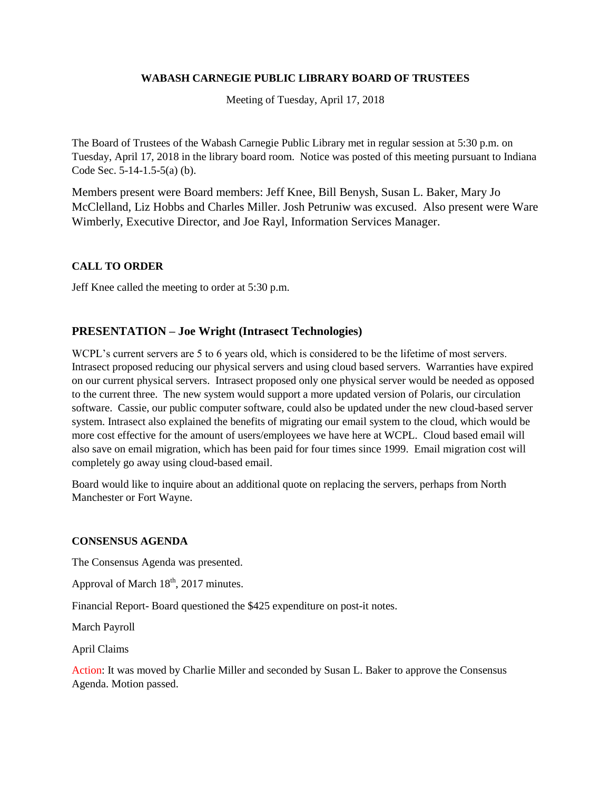#### **WABASH CARNEGIE PUBLIC LIBRARY BOARD OF TRUSTEES**

Meeting of Tuesday, April 17, 2018

The Board of Trustees of the Wabash Carnegie Public Library met in regular session at 5:30 p.m. on Tuesday, April 17, 2018 in the library board room. Notice was posted of this meeting pursuant to Indiana Code Sec. 5-14-1.5-5(a) (b).

Members present were Board members: Jeff Knee, Bill Benysh, Susan L. Baker, Mary Jo McClelland, Liz Hobbs and Charles Miller. Josh Petruniw was excused. Also present were Ware Wimberly, Executive Director, and Joe Rayl, Information Services Manager.

## **CALL TO ORDER**

Jeff Knee called the meeting to order at 5:30 p.m.

## **PRESENTATION – Joe Wright (Intrasect Technologies)**

WCPL's current servers are 5 to 6 years old, which is considered to be the lifetime of most servers. Intrasect proposed reducing our physical servers and using cloud based servers. Warranties have expired on our current physical servers. Intrasect proposed only one physical server would be needed as opposed to the current three. The new system would support a more updated version of Polaris, our circulation software. Cassie, our public computer software, could also be updated under the new cloud-based server system. Intrasect also explained the benefits of migrating our email system to the cloud, which would be more cost effective for the amount of users/employees we have here at WCPL. Cloud based email will also save on email migration, which has been paid for four times since 1999. Email migration cost will completely go away using cloud-based email.

Board would like to inquire about an additional quote on replacing the servers, perhaps from North Manchester or Fort Wayne.

#### **CONSENSUS AGENDA**

The Consensus Agenda was presented.

Approval of March  $18<sup>th</sup>$ , 2017 minutes.

Financial Report- Board questioned the \$425 expenditure on post-it notes.

March Payroll

April Claims

Action: It was moved by Charlie Miller and seconded by Susan L. Baker to approve the Consensus Agenda. Motion passed.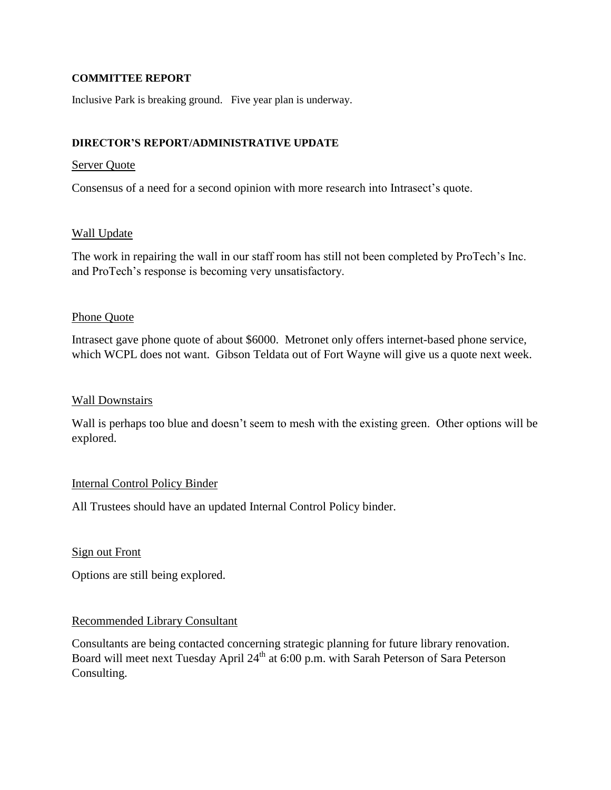### **COMMITTEE REPORT**

Inclusive Park is breaking ground. Five year plan is underway.

## **DIRECTOR'S REPORT/ADMINISTRATIVE UPDATE**

### Server Quote

Consensus of a need for a second opinion with more research into Intrasect's quote.

### Wall Update

The work in repairing the wall in our staff room has still not been completed by ProTech's Inc. and ProTech's response is becoming very unsatisfactory.

### Phone Quote

Intrasect gave phone quote of about \$6000. Metronet only offers internet-based phone service, which WCPL does not want. Gibson Teldata out of Fort Wayne will give us a quote next week.

### Wall Downstairs

Wall is perhaps too blue and doesn't seem to mesh with the existing green. Other options will be explored.

## Internal Control Policy Binder

All Trustees should have an updated Internal Control Policy binder.

## Sign out Front

Options are still being explored.

## Recommended Library Consultant

Consultants are being contacted concerning strategic planning for future library renovation. Board will meet next Tuesday April 24<sup>th</sup> at 6:00 p.m. with Sarah Peterson of Sara Peterson Consulting.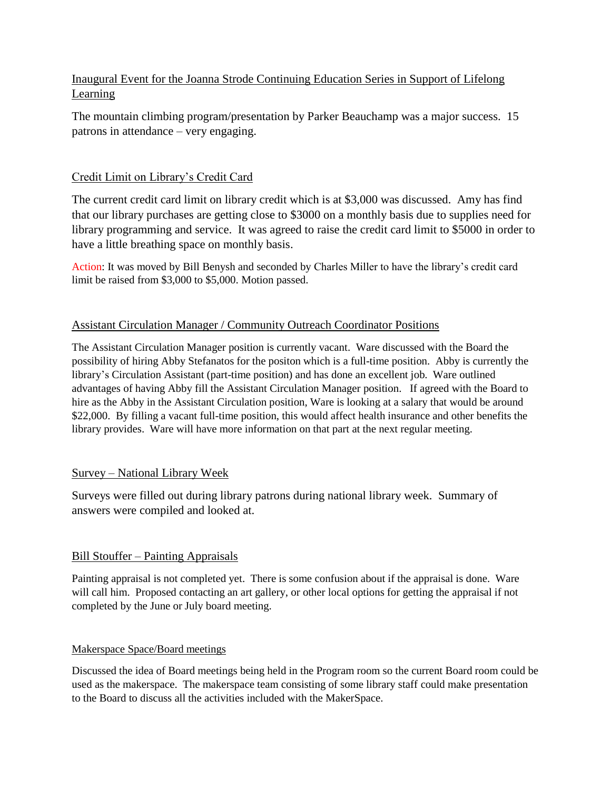# Inaugural Event for the Joanna Strode Continuing Education Series in Support of Lifelong Learning

The mountain climbing program/presentation by Parker Beauchamp was a major success. 15 patrons in attendance – very engaging.

# Credit Limit on Library's Credit Card

The current credit card limit on library credit which is at \$3,000 was discussed. Amy has find that our library purchases are getting close to \$3000 on a monthly basis due to supplies need for library programming and service. It was agreed to raise the credit card limit to \$5000 in order to have a little breathing space on monthly basis.

Action: It was moved by Bill Benysh and seconded by Charles Miller to have the library's credit card limit be raised from \$3,000 to \$5,000. Motion passed.

## Assistant Circulation Manager / Community Outreach Coordinator Positions

The Assistant Circulation Manager position is currently vacant. Ware discussed with the Board the possibility of hiring Abby Stefanatos for the positon which is a full-time position. Abby is currently the library's Circulation Assistant (part-time position) and has done an excellent job. Ware outlined advantages of having Abby fill the Assistant Circulation Manager position. If agreed with the Board to hire as the Abby in the Assistant Circulation position, Ware is looking at a salary that would be around \$22,000. By filling a vacant full-time position, this would affect health insurance and other benefits the library provides. Ware will have more information on that part at the next regular meeting.

## Survey – National Library Week

Surveys were filled out during library patrons during national library week. Summary of answers were compiled and looked at.

## Bill Stouffer – Painting Appraisals

Painting appraisal is not completed yet. There is some confusion about if the appraisal is done. Ware will call him. Proposed contacting an art gallery, or other local options for getting the appraisal if not completed by the June or July board meeting.

## Makerspace Space/Board meetings

Discussed the idea of Board meetings being held in the Program room so the current Board room could be used as the makerspace. The makerspace team consisting of some library staff could make presentation to the Board to discuss all the activities included with the MakerSpace.